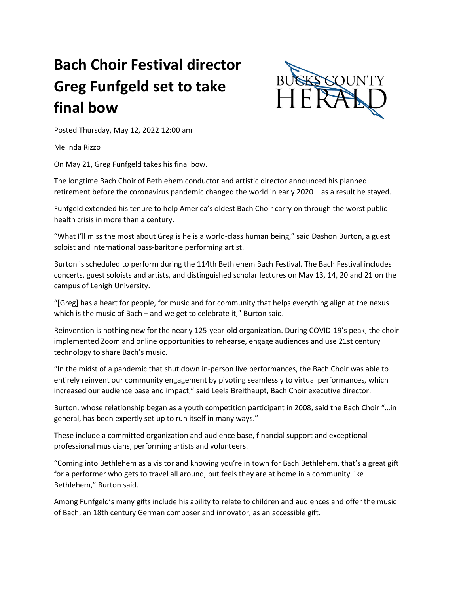## **Bach Choir Festival director Greg Funfgeld set to take final bow**



Posted Thursday, May 12, 2022 12:00 am

Melinda Rizzo

On May 21, Greg Funfgeld takes his final bow.

The longtime Bach Choir of Bethlehem conductor and artistic director announced his planned retirement before the coronavirus pandemic changed the world in early 2020 – as a result he stayed.

Funfgeld extended his tenure to help America's oldest Bach Choir carry on through the worst public health crisis in more than a century.

"What I'll miss the most about Greg is he is a world-class human being," said Dashon Burton, a guest soloist and international bass-baritone performing artist.

Burton is scheduled to perform during the 114th Bethlehem Bach Festival. The Bach Festival includes concerts, guest soloists and artists, and distinguished scholar lectures on May 13, 14, 20 and 21 on the campus of Lehigh University.

"[Greg] has a heart for people, for music and for community that helps everything align at the nexus – which is the music of Bach – and we get to celebrate it," Burton said.

Reinvention is nothing new for the nearly 125-year-old organization. During COVID-19's peak, the choir implemented Zoom and online opportunities to rehearse, engage audiences and use 21st century technology to share Bach's music.

"In the midst of a pandemic that shut down in-person live performances, the Bach Choir was able to entirely reinvent our community engagement by pivoting seamlessly to virtual performances, which increased our audience base and impact," said Leela Breithaupt, Bach Choir executive director.

Burton, whose relationship began as a youth competition participant in 2008, said the Bach Choir "…in general, has been expertly set up to run itself in many ways."

These include a committed organization and audience base, financial support and exceptional professional musicians, performing artists and volunteers.

"Coming into Bethlehem as a visitor and knowing you're in town for Bach Bethlehem, that's a great gift for a performer who gets to travel all around, but feels they are at home in a community like Bethlehem," Burton said.

Among Funfgeld's many gifts include his ability to relate to children and audiences and offer the music of Bach, an 18th century German composer and innovator, as an accessible gift.